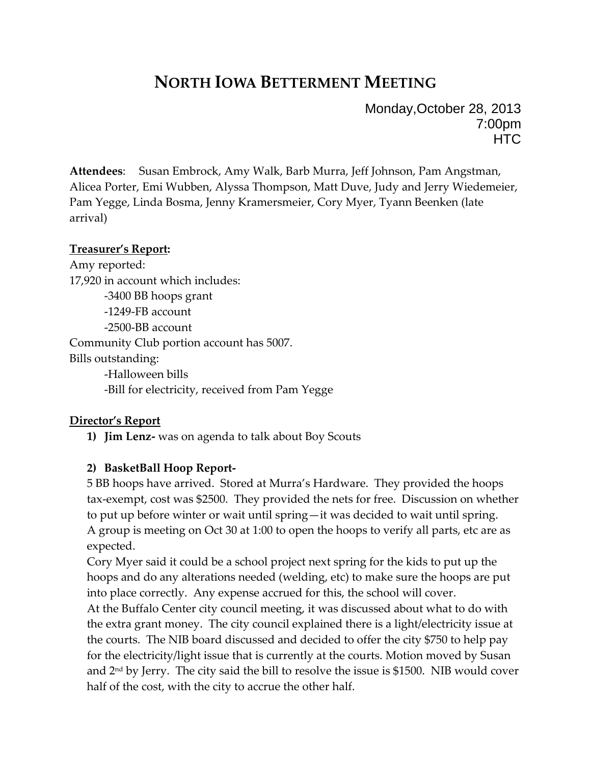# **NORTH IOWA BETTERMENT MEETING**

Monday,October 28, 2013 7:00pm **HTC** 

**Attendees**: Susan Embrock, Amy Walk, Barb Murra, Jeff Johnson, Pam Angstman, Alicea Porter, Emi Wubben, Alyssa Thompson, Matt Duve, Judy and Jerry Wiedemeier, Pam Yegge, Linda Bosma, Jenny Kramersmeier, Cory Myer, Tyann Beenken (late arrival)

#### **Treasurer's Report:**

Amy reported: 17,920 in account which includes: -3400 BB hoops grant -1249-FB account -2500-BB account Community Club portion account has 5007. Bills outstanding: -Halloween bills -Bill for electricity, received from Pam Yegge

## **Director's Report**

**1) Jim Lenz-** was on agenda to talk about Boy Scouts

## **2) BasketBall Hoop Report-**

5 BB hoops have arrived. Stored at Murra's Hardware. They provided the hoops tax-exempt, cost was \$2500. They provided the nets for free. Discussion on whether to put up before winter or wait until spring—it was decided to wait until spring. A group is meeting on Oct 30 at 1:00 to open the hoops to verify all parts, etc are as expected.

Cory Myer said it could be a school project next spring for the kids to put up the hoops and do any alterations needed (welding, etc) to make sure the hoops are put into place correctly. Any expense accrued for this, the school will cover. At the Buffalo Center city council meeting, it was discussed about what to do with the extra grant money. The city council explained there is a light/electricity issue at the courts. The NIB board discussed and decided to offer the city \$750 to help pay for the electricity/light issue that is currently at the courts. Motion moved by Susan and  $2<sup>nd</sup>$  by Jerry. The city said the bill to resolve the issue is \$1500. NIB would cover half of the cost, with the city to accrue the other half.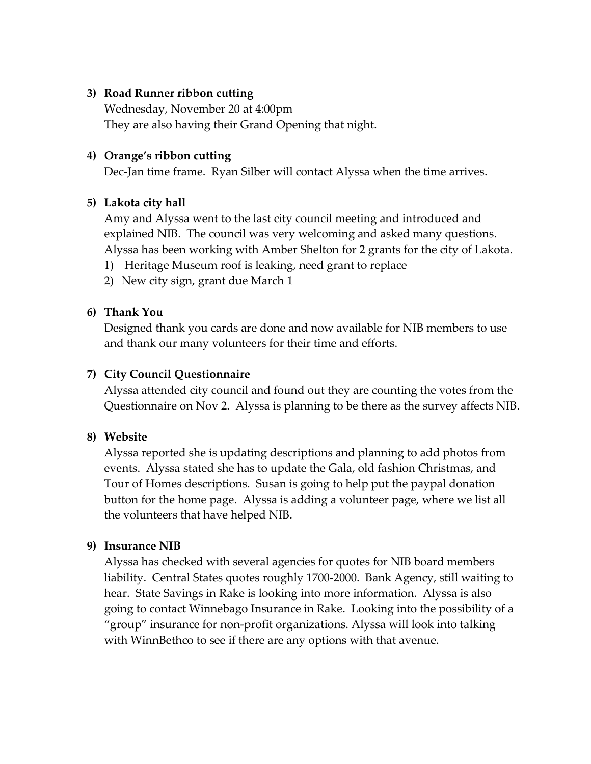## **3) Road Runner ribbon cutting**

Wednesday, November 20 at 4:00pm They are also having their Grand Opening that night.

#### **4) Orange's ribbon cutting**

Dec-Jan time frame. Ryan Silber will contact Alyssa when the time arrives.

#### **5) Lakota city hall**

Amy and Alyssa went to the last city council meeting and introduced and explained NIB. The council was very welcoming and asked many questions. Alyssa has been working with Amber Shelton for 2 grants for the city of Lakota.

- 1) Heritage Museum roof is leaking, need grant to replace
- 2) New city sign, grant due March 1

#### **6) Thank You**

Designed thank you cards are done and now available for NIB members to use and thank our many volunteers for their time and efforts.

#### **7) City Council Questionnaire**

Alyssa attended city council and found out they are counting the votes from the Questionnaire on Nov 2. Alyssa is planning to be there as the survey affects NIB.

#### **8) Website**

Alyssa reported she is updating descriptions and planning to add photos from events. Alyssa stated she has to update the Gala, old fashion Christmas, and Tour of Homes descriptions. Susan is going to help put the paypal donation button for the home page. Alyssa is adding a volunteer page, where we list all the volunteers that have helped NIB.

#### **9) Insurance NIB**

Alyssa has checked with several agencies for quotes for NIB board members liability. Central States quotes roughly 1700-2000. Bank Agency, still waiting to hear. State Savings in Rake is looking into more information. Alyssa is also going to contact Winnebago Insurance in Rake. Looking into the possibility of a "group" insurance for non-profit organizations. Alyssa will look into talking with WinnBethco to see if there are any options with that avenue.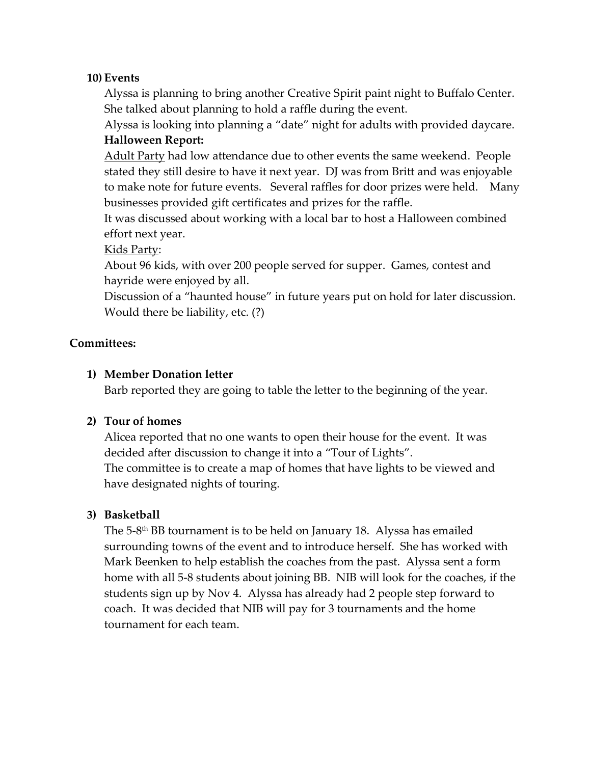## **10) Events**

Alyssa is planning to bring another Creative Spirit paint night to Buffalo Center. She talked about planning to hold a raffle during the event.

Alyssa is looking into planning a "date" night for adults with provided daycare. **Halloween Report:**

Adult Party had low attendance due to other events the same weekend. People stated they still desire to have it next year. DJ was from Britt and was enjoyable to make note for future events. Several raffles for door prizes were held. Many businesses provided gift certificates and prizes for the raffle.

It was discussed about working with a local bar to host a Halloween combined effort next year.

Kids Party:

About 96 kids, with over 200 people served for supper. Games, contest and hayride were enjoyed by all.

Discussion of a "haunted house" in future years put on hold for later discussion. Would there be liability, etc. (?)

#### **Committees:**

#### **1) Member Donation letter**

Barb reported they are going to table the letter to the beginning of the year.

#### **2) Tour of homes**

Alicea reported that no one wants to open their house for the event. It was decided after discussion to change it into a "Tour of Lights". The committee is to create a map of homes that have lights to be viewed and have designated nights of touring.

#### **3) Basketball**

The 5-8<sup>th</sup> BB tournament is to be held on January 18. Alyssa has emailed surrounding towns of the event and to introduce herself. She has worked with Mark Beenken to help establish the coaches from the past. Alyssa sent a form home with all 5-8 students about joining BB. NIB will look for the coaches, if the students sign up by Nov 4. Alyssa has already had 2 people step forward to coach. It was decided that NIB will pay for 3 tournaments and the home tournament for each team.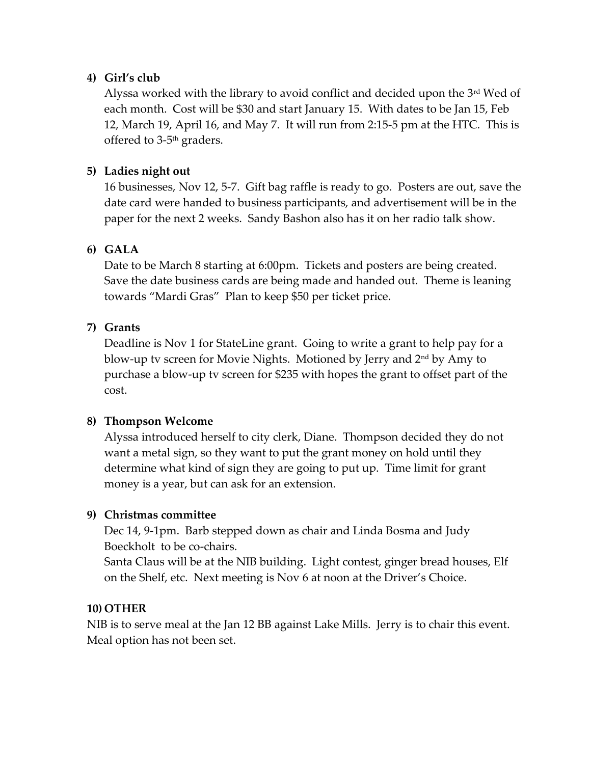# **4) Girl's club**

Alyssa worked with the library to avoid conflict and decided upon the 3rd Wed of each month. Cost will be \$30 and start January 15. With dates to be Jan 15, Feb 12, March 19, April 16, and May 7. It will run from 2:15-5 pm at the HTC. This is offered to 3-5<sup>th</sup> graders.

# **5) Ladies night out**

16 businesses, Nov 12, 5-7. Gift bag raffle is ready to go. Posters are out, save the date card were handed to business participants, and advertisement will be in the paper for the next 2 weeks. Sandy Bashon also has it on her radio talk show.

# **6) GALA**

Date to be March 8 starting at 6:00pm. Tickets and posters are being created. Save the date business cards are being made and handed out. Theme is leaning towards "Mardi Gras" Plan to keep \$50 per ticket price.

# **7) Grants**

Deadline is Nov 1 for StateLine grant. Going to write a grant to help pay for a blow-up tv screen for Movie Nights. Motioned by Jerry and 2<sup>nd</sup> by Amy to purchase a blow-up tv screen for \$235 with hopes the grant to offset part of the cost.

## **8) Thompson Welcome**

Alyssa introduced herself to city clerk, Diane. Thompson decided they do not want a metal sign, so they want to put the grant money on hold until they determine what kind of sign they are going to put up. Time limit for grant money is a year, but can ask for an extension.

# **9) Christmas committee**

Dec 14, 9-1pm. Barb stepped down as chair and Linda Bosma and Judy Boeckholt to be co-chairs.

Santa Claus will be at the NIB building. Light contest, ginger bread houses, Elf on the Shelf, etc. Next meeting is Nov 6 at noon at the Driver's Choice.

## **10) OTHER**

NIB is to serve meal at the Jan 12 BB against Lake Mills. Jerry is to chair this event. Meal option has not been set.